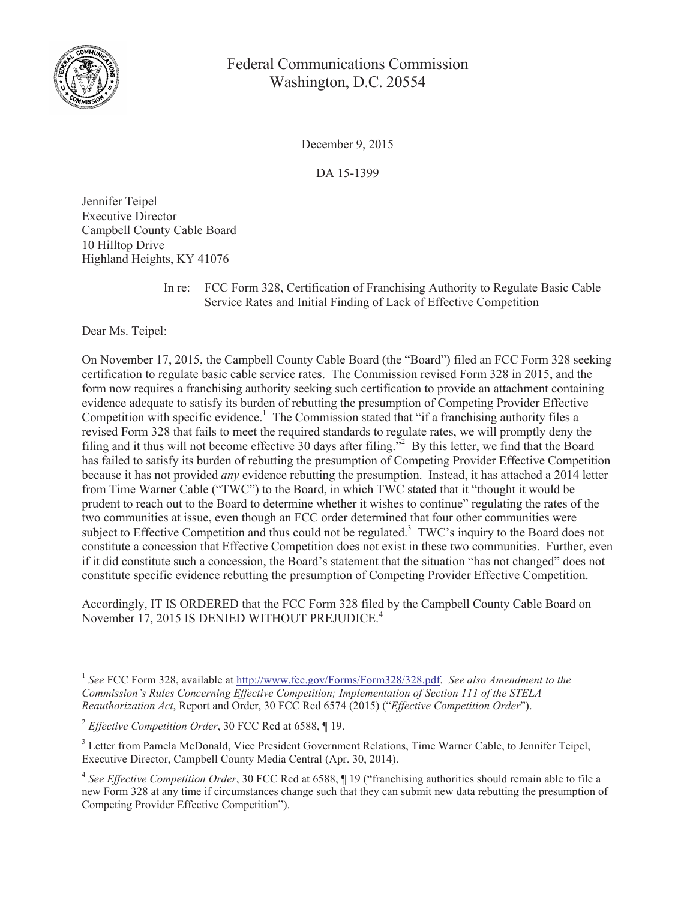

## Federal Communications Commission Washington, D.C. 20554

December 9, 2015

DA 15-1399

Jennifer Teipel Executive Director Campbell County Cable Board 10 Hilltop Drive Highland Heights, KY 41076

> In re: FCC Form 328, Certification of Franchising Authority to Regulate Basic Cable Service Rates and Initial Finding of Lack of Effective Competition

Dear Ms. Teipel:

On November 17, 2015, the Campbell County Cable Board (the "Board") filed an FCC Form 328 seeking certification to regulate basic cable service rates. The Commission revised Form 328 in 2015, and the form now requires a franchising authority seeking such certification to provide an attachment containing evidence adequate to satisfy its burden of rebutting the presumption of Competing Provider Effective Competition with specific evidence.<sup>1</sup> The Commission stated that "if a franchising authority files a revised Form 328 that fails to meet the required standards to regulate rates, we will promptly deny the filing and it thus will not become effective 30 days after filing."<sup>2</sup> By this letter, we find that the Board has failed to satisfy its burden of rebutting the presumption of Competing Provider Effective Competition because it has not provided *any* evidence rebutting the presumption. Instead, it has attached a 2014 letter from Time Warner Cable ("TWC") to the Board, in which TWC stated that it "thought it would be prudent to reach out to the Board to determine whether it wishes to continue" regulating the rates of the two communities at issue, even though an FCC order determined that four other communities were subject to Effective Competition and thus could not be regulated.<sup>3</sup> TWC's inquiry to the Board does not constitute a concession that Effective Competition does not exist in these two communities. Further, even if it did constitute such a concession, the Board's statement that the situation "has not changed" does not constitute specific evidence rebutting the presumption of Competing Provider Effective Competition.

Accordingly, IT IS ORDERED that the FCC Form 328 filed by the Campbell County Cable Board on November 17, 2015 IS DENIED WITHOUT PREJUDICE.<sup>4</sup>

<sup>&</sup>lt;sup>1</sup> See FCC Form 328, available at http://www.fcc.gov/Forms/Form328/328.pdf. See also Amendment to the *Commission's Rules Concerning Effective Competition; Implementation of Section 111 of the STELA Reauthorization Act*, Report and Order, 30 FCC Rcd 6574 (2015) ("*Effective Competition Order*").

<sup>2</sup> *Effective Competition Order*, 30 FCC Rcd at 6588, ¶ 19.

<sup>&</sup>lt;sup>3</sup> Letter from Pamela McDonald, Vice President Government Relations, Time Warner Cable, to Jennifer Teipel, Executive Director, Campbell County Media Central (Apr. 30, 2014).

<sup>4</sup> *See Effective Competition Order*, 30 FCC Rcd at 6588, ¶ 19 ("franchising authorities should remain able to file a new Form 328 at any time if circumstances change such that they can submit new data rebutting the presumption of Competing Provider Effective Competition").